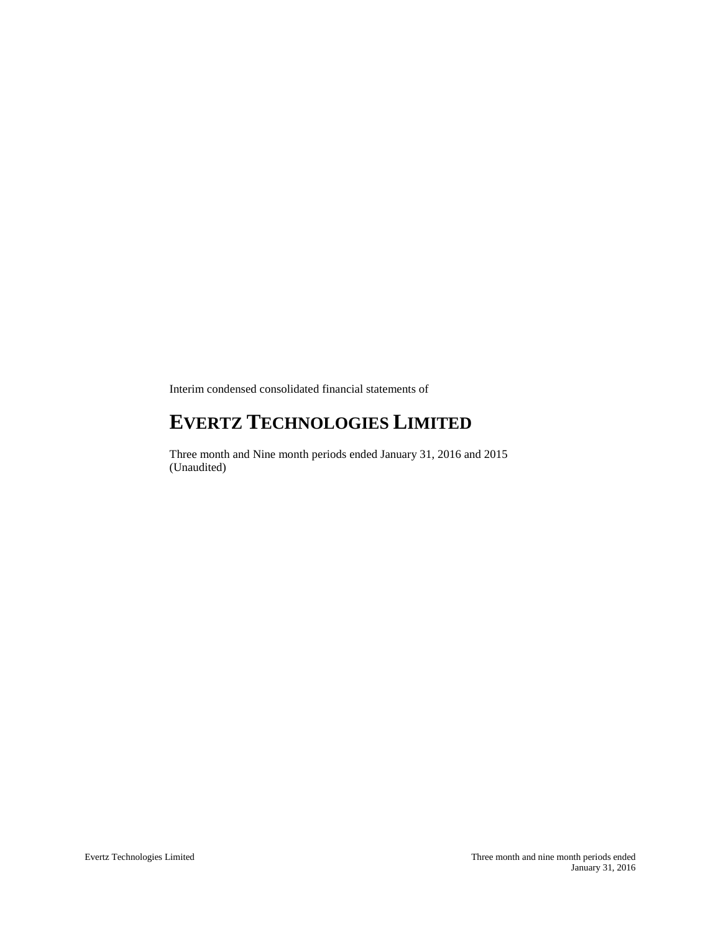Interim condensed consolidated financial statements of

# **EVERTZ TECHNOLOGIES LIMITED**

Three month and Nine month periods ended January 31, 2016 and 2015 (Unaudited)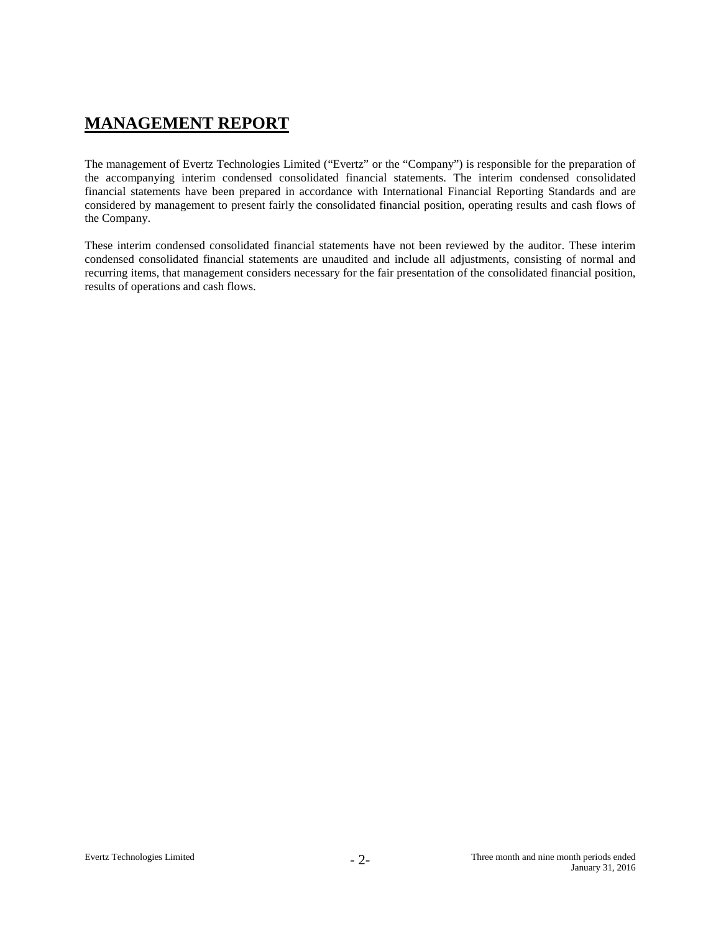# **MANAGEMENT REPORT**

The management of Evertz Technologies Limited ("Evertz" or the "Company") is responsible for the preparation of the accompanying interim condensed consolidated financial statements. The interim condensed consolidated financial statements have been prepared in accordance with International Financial Reporting Standards and are considered by management to present fairly the consolidated financial position, operating results and cash flows of the Company.

These interim condensed consolidated financial statements have not been reviewed by the auditor. These interim condensed consolidated financial statements are unaudited and include all adjustments, consisting of normal and recurring items, that management considers necessary for the fair presentation of the consolidated financial position, results of operations and cash flows.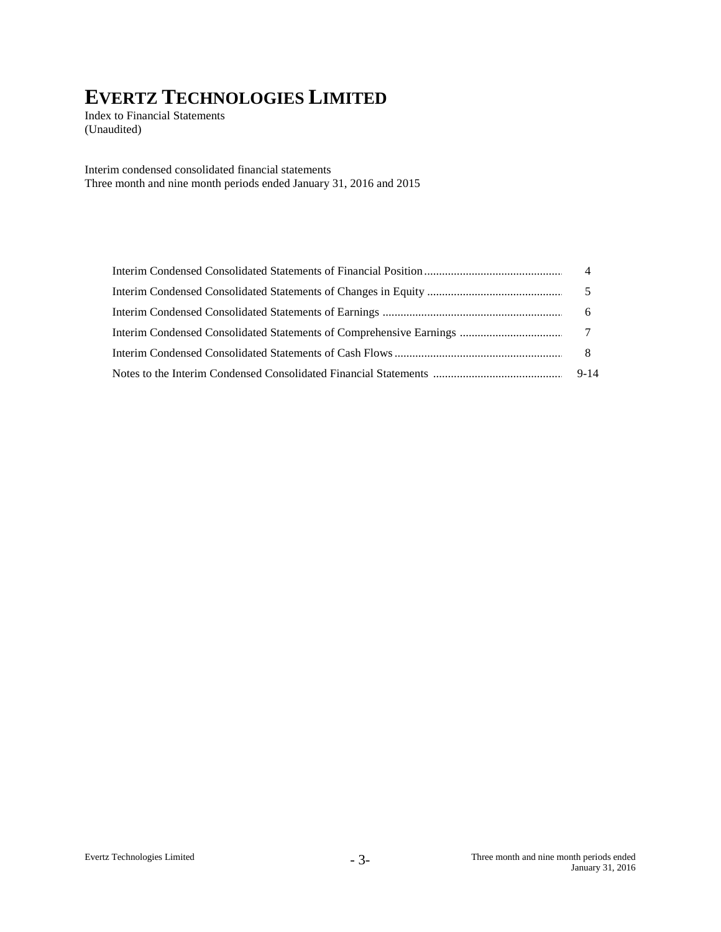Index to Financial Statements (Unaudited)

Interim condensed consolidated financial statements Three month and nine month periods ended January 31, 2016 and 2015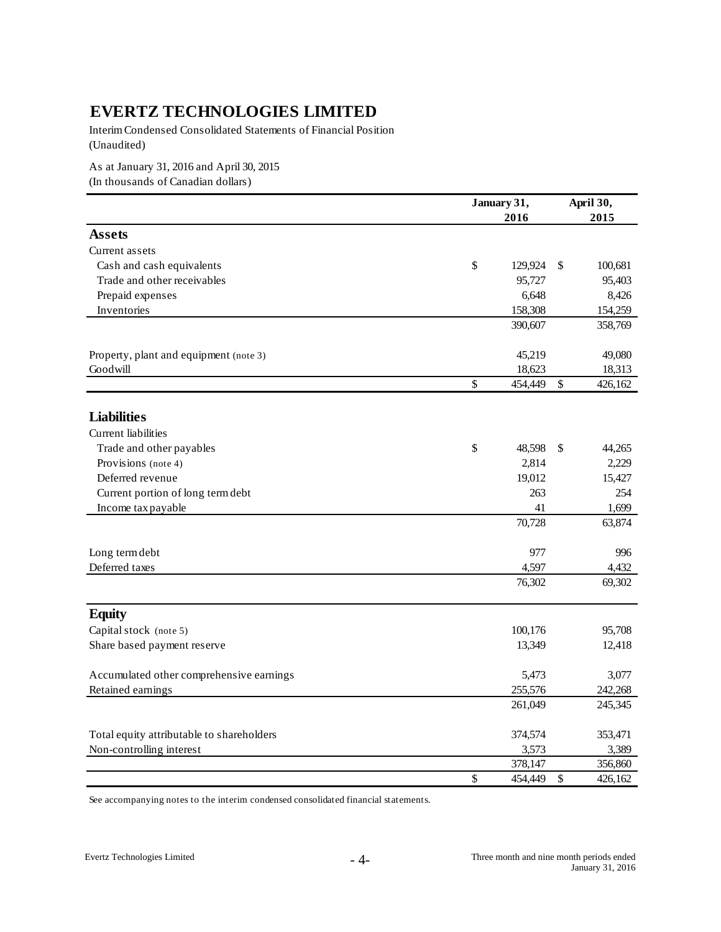Interim Condensed Consolidated Statements of Financial Position (Unaudited)

As at January 31, 2016 and April 30, 2015 (In thousands of Canadian dollars)

|                                           | January 31,   | April 30,     |         |  |
|-------------------------------------------|---------------|---------------|---------|--|
|                                           | 2016          |               | 2015    |  |
| <b>Assets</b>                             |               |               |         |  |
| Current assets                            |               |               |         |  |
| Cash and cash equivalents                 | \$<br>129,924 | \$            | 100,681 |  |
| Trade and other receivables               | 95,727        |               | 95,403  |  |
| Prepaid expenses                          | 6,648         |               | 8,426   |  |
| Inventories                               | 158,308       |               | 154,259 |  |
|                                           | 390,607       |               | 358,769 |  |
| Property, plant and equipment (note 3)    | 45,219        |               | 49,080  |  |
| Goodwill                                  | 18,623        |               | 18,313  |  |
|                                           | \$<br>454,449 | $\mathsf{\$}$ | 426,162 |  |
| <b>Liabilities</b>                        |               |               |         |  |
| <b>Current</b> liabilities                |               |               |         |  |
| Trade and other payables                  | \$<br>48,598  | \$            | 44,265  |  |
| Provisions (note 4)                       | 2,814         |               | 2,229   |  |
| Deferred revenue                          | 19,012        |               | 15,427  |  |
| Current portion of long term debt         | 263           |               | 254     |  |
| Income tax payable                        | 41            |               | 1,699   |  |
|                                           | 70,728        |               | 63,874  |  |
| Long term debt                            | 977           |               | 996     |  |
| Deferred taxes                            | 4,597         |               | 4,432   |  |
|                                           | 76,302        |               | 69,302  |  |
| <b>Equity</b>                             |               |               |         |  |
| Capital stock (note 5)                    | 100,176       |               | 95,708  |  |
| Share based payment reserve               | 13,349        |               | 12,418  |  |
| Accumulated other comprehensive earnings  | 5,473         |               | 3,077   |  |
| Retained earnings                         | 255,576       |               | 242,268 |  |
|                                           | 261,049       |               | 245,345 |  |
| Total equity attributable to shareholders | 374,574       |               | 353,471 |  |
| Non-controlling interest                  | 3,573         |               | 3,389   |  |
|                                           | 378,147       |               | 356,860 |  |
|                                           | \$<br>454,449 | \$            | 426,162 |  |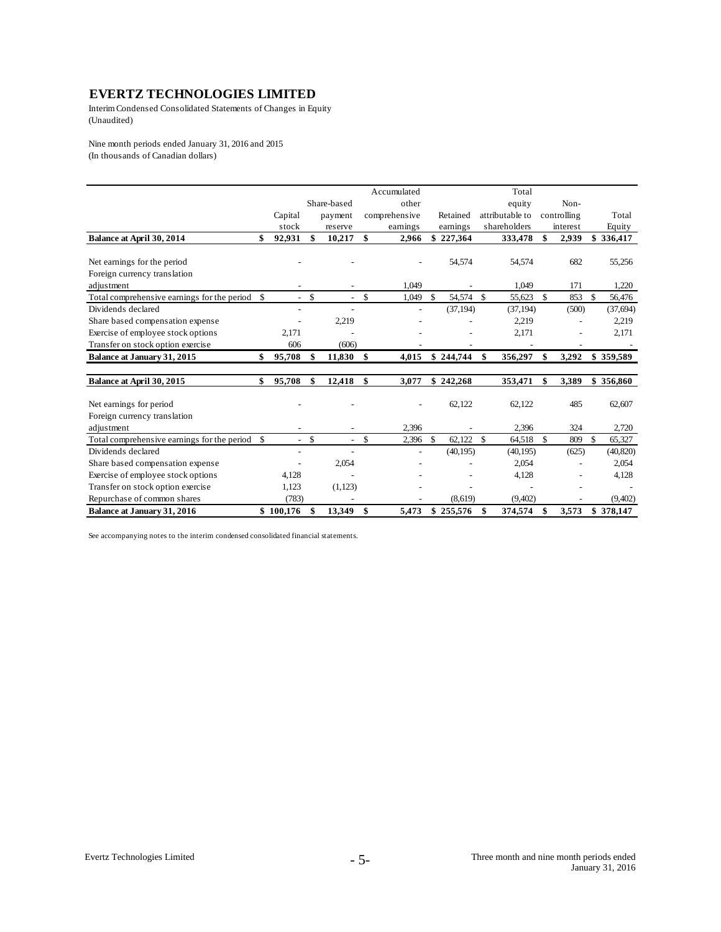Interim Condensed Consolidated Statements of Changes in Equity (Unaudited)

Nine month periods ended January 31, 2016 and 2015 (In thousands of Canadian dollars)

|                                                |                          |               |                |               | Accumulated   |              |           |               | Total           |               |             |             |           |
|------------------------------------------------|--------------------------|---------------|----------------|---------------|---------------|--------------|-----------|---------------|-----------------|---------------|-------------|-------------|-----------|
|                                                |                          |               | Share-based    |               | other         |              |           |               | equity          |               | Non-        |             |           |
|                                                | Capital                  |               | payment        |               | comprehensive |              | Retained  |               | attributable to |               | controlling |             | Total     |
|                                                | stock                    |               | reserve        |               | earnings      |              | earnings  |               | shareholders    |               | interest    |             | Equity    |
| Balance at April 30, 2014                      | \$<br>92,931             | \$            | 10,217         | \$            | 2,966         | \$           | 227,364   |               | 333,478         | \$            | 2,939       | \$          | 336,417   |
|                                                |                          |               |                |               |               |              |           |               |                 |               |             |             |           |
| Net earnings for the period                    |                          |               |                |               |               |              | 54,574    |               | 54,574          |               | 682         |             | 55,256    |
| Foreign currency translation                   |                          |               |                |               |               |              |           |               |                 |               |             |             |           |
| adjustment                                     |                          |               |                |               | 1.049         |              |           |               | 1.049           |               | 171         |             | 1,220     |
| Total comprehensive earnings for the period \$ | $\sim$                   | <sup>\$</sup> | ÷.             | $\mathcal{S}$ | 1,049         | \$           | 54,574    | - \$          | 55,623          | $\mathcal{S}$ | 853         | $\mathbf S$ | 56,476    |
| Dividends declared                             | $\overline{\phantom{a}}$ |               | $\overline{a}$ |               |               |              | (37, 194) |               | (37, 194)       |               | (500)       |             | (37,694)  |
| Share based compensation expense               |                          |               | 2,219          |               |               |              |           |               | 2,219           |               |             |             | 2,219     |
| Exercise of employee stock options             | 2,171                    |               |                |               |               |              |           |               | 2,171           |               |             |             | 2,171     |
| Transfer on stock option exercise              | 606                      |               | (606)          |               |               |              |           |               |                 |               |             |             |           |
| Balance at January 31, 2015                    | \$<br>95,708             | \$            | 11,830         | - \$          | 4,015         |              | \$244,744 | \$            | 356,297         | \$            | 3,292       |             | \$359,589 |
| Balance at April 30, 2015                      | \$<br>95,708             | \$            | 12,418         | \$            | 3,077         |              | \$242,268 |               | 353,471         | \$            | 3,389       |             | \$356,860 |
| Net earnings for period                        |                          |               |                |               |               |              | 62,122    |               | 62,122          |               | 485         |             | 62,607    |
| Foreign currency translation                   |                          |               |                |               |               |              |           |               |                 |               |             |             |           |
| adjustment                                     |                          |               |                |               | 2,396         |              |           |               | 2,396           |               | 324         |             | 2,720     |
| Total comprehensive earnings for the period \$ | $\mathcal{L}^{\pm}$      | $\mathbb{S}$  | $\overline{a}$ | $\mathbb{S}$  | 2,396         | $\mathbb{S}$ | 62,122    | $\mathcal{S}$ | 64,518          | $\mathcal{S}$ | 809         | $\mathbf S$ | 65,327    |
| Dividends declared                             | $\overline{\phantom{a}}$ |               |                |               |               |              | (40, 195) |               | (40, 195)       |               | (625)       |             | (40, 820) |
| Share based compensation expense               |                          |               | 2,054          |               |               |              |           |               | 2,054           |               |             |             | 2,054     |
| Exercise of employee stock options             | 4,128                    |               |                |               |               |              |           |               | 4,128           |               |             |             | 4,128     |
| Transfer on stock option exercise              | 1,123                    |               | (1,123)        |               |               |              |           |               |                 |               |             |             |           |
| Repurchase of common shares                    | (783)                    |               |                |               |               |              | (8,619)   |               | (9,402)         |               |             |             | (9,402)   |
| Balance at January 31, 2016                    | \$100.176                | \$            | 13.349         | \$            | 5,473         |              | \$255,576 | \$            | 374.574         | \$            | 3,573       |             | \$378,147 |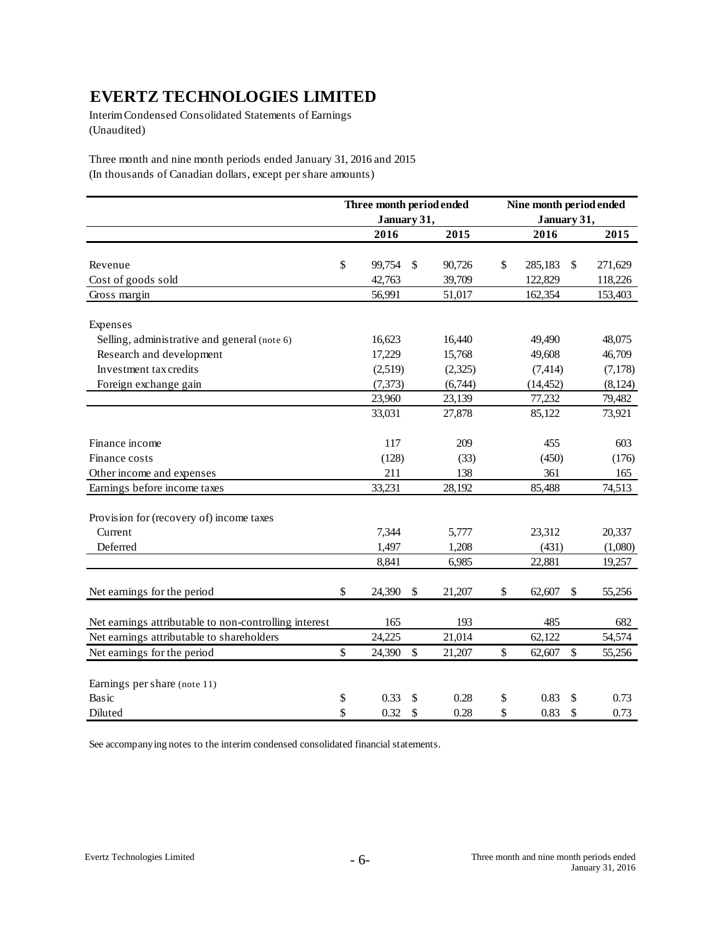Interim Condensed Consolidated Statements of Earnings (Unaudited)

Three month and nine month periods ended January 31, 2016 and 2015 (In thousands of Canadian dollars, except per share amounts)

|                                                       | January 31,<br>2016 |    |         |      |                                      |          |  |
|-------------------------------------------------------|---------------------|----|---------|------|--------------------------------------|----------|--|
|                                                       |                     |    |         |      | January 31,                          |          |  |
|                                                       |                     |    | 2015    |      | 2016                                 | 2015     |  |
| \$<br>Revenue                                         | 99,754              | \$ | 90,726  | \$   | $\boldsymbol{\mathsf{S}}$<br>285,183 | 271,629  |  |
| Cost of goods sold                                    | 42,763              |    | 39,709  |      | 122,829                              | 118,226  |  |
| Gross margin                                          | 56,991              |    | 51,017  |      | 162,354                              | 153,403  |  |
|                                                       |                     |    |         |      |                                      |          |  |
| Expenses                                              |                     |    |         |      |                                      |          |  |
| Selling, administrative and general (note 6)          | 16,623              |    | 16,440  |      | 49,490                               | 48,075   |  |
| Research and development                              | 17,229              |    | 15,768  |      | 49,608                               | 46,709   |  |
| Investment tax credits                                | (2,519)             |    | (2,325) |      | (7, 414)                             | (7,178)  |  |
| Foreign exchange gain                                 | (7,373)             |    | (6,744) |      | (14, 452)                            | (8, 124) |  |
|                                                       | 23,960              |    | 23,139  |      | 77,232                               | 79,482   |  |
|                                                       | 33,031              |    | 27,878  |      | 85,122                               | 73,921   |  |
| Finance income                                        | 117                 |    | 209     |      | 455                                  | 603      |  |
| Finance costs                                         | (128)               |    | (33)    |      | (450)                                | (176)    |  |
| Other income and expenses                             | 211                 |    | 138     |      | 361                                  | 165      |  |
| Earnings before income taxes                          | 33,231              |    | 28,192  |      | 85,488                               | 74,513   |  |
| Provision for (recovery of) income taxes              |                     |    |         |      |                                      |          |  |
| Current                                               | 7,344               |    | 5,777   |      | 23,312                               | 20,337   |  |
| Deferred                                              | 1,497               |    | 1,208   |      | (431)                                | (1,080)  |  |
|                                                       | 8,841               |    | 6,985   |      | 22,881                               | 19,257   |  |
| \$<br>Net earnings for the period                     | 24,390              | \$ | 21,207  | \$   | 62,607<br>\$                         | 55,256   |  |
| Net earnings attributable to non-controlling interest | 165                 |    | 193     |      | 485                                  | 682      |  |
| Net earnings attributable to shareholders             | 24,225              |    | 21,014  |      | 62,122                               | 54,574   |  |
| \$<br>Net earnings for the period                     | 24,390              | \$ | 21,207  | $\$$ | $\boldsymbol{\mathsf{S}}$<br>62,607  | 55,256   |  |
| Earnings per share (note 11)                          |                     |    |         |      |                                      |          |  |
| Basic<br>\$                                           | 0.33                | \$ | 0.28    | \$   | 0.83<br>\$                           | 0.73     |  |
| \$<br>Diluted                                         | 0.32                | \$ | 0.28    | \$   | \$<br>0.83                           | 0.73     |  |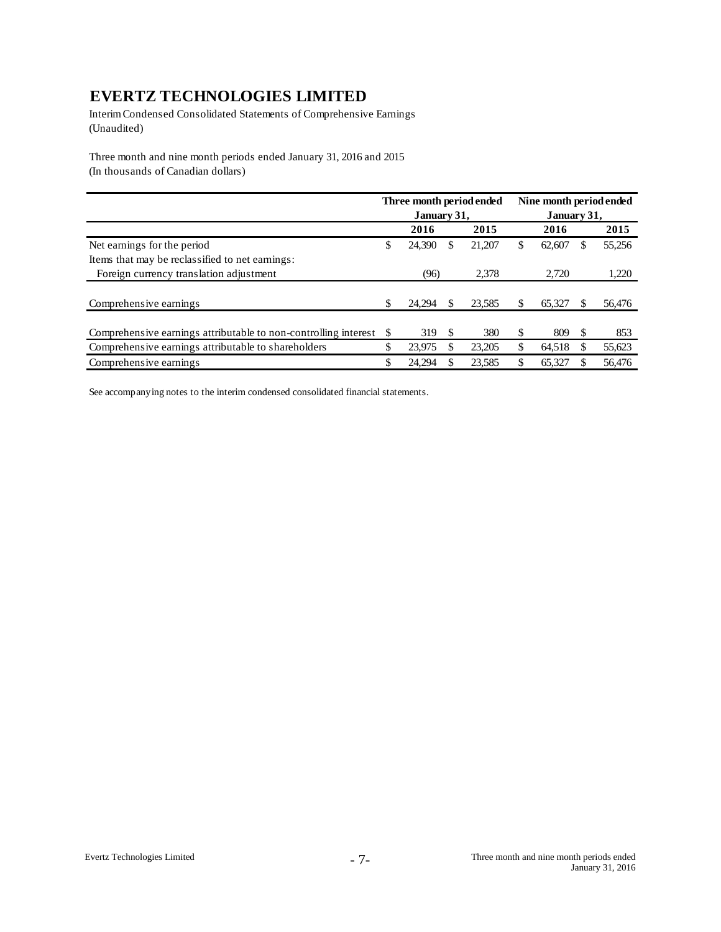Interim Condensed Consolidated Statements of Comprehensive Earnings (Unaudited)

Three month and nine month periods ended January 31, 2016 and 2015 (In thousands of Canadian dollars)

|                                                                 | Three month period ended |             |     |        |    | Nine month period ended |   |        |  |  |  |
|-----------------------------------------------------------------|--------------------------|-------------|-----|--------|----|-------------------------|---|--------|--|--|--|
|                                                                 |                          | January 31, |     |        |    | January 31,             |   |        |  |  |  |
|                                                                 |                          | 2016        |     | 2015   |    | 2016                    |   | 2015   |  |  |  |
| Net earnings for the period                                     | S                        | 24.390      | S   | 21,207 | S  | 62.607                  | S | 55,256 |  |  |  |
| Items that may be reclassified to net earnings:                 |                          |             |     |        |    |                         |   |        |  |  |  |
| Foreign currency translation adjustment                         |                          | (96)        |     | 2.378  |    | 2.720                   |   | 1,220  |  |  |  |
|                                                                 |                          |             |     |        |    |                         |   |        |  |  |  |
| Comprehensive earnings                                          | S                        | 24.294      |     | 23.585 |    | 65.327                  |   | 56,476 |  |  |  |
|                                                                 |                          |             |     |        |    |                         |   |        |  |  |  |
| Comprehensive earnings attributable to non-controlling interest | -S                       | 319         | \$. | 380    | \$ | 809                     | S | 853    |  |  |  |
| Comprehensive earnings attributable to shareholders             | \$                       | 23.975      |     | 23,205 | \$ | 64.518                  |   | 55,623 |  |  |  |
| Comprehensive earnings                                          |                          | 24.294      |     | 23,585 |    | 65,327                  |   | 56,476 |  |  |  |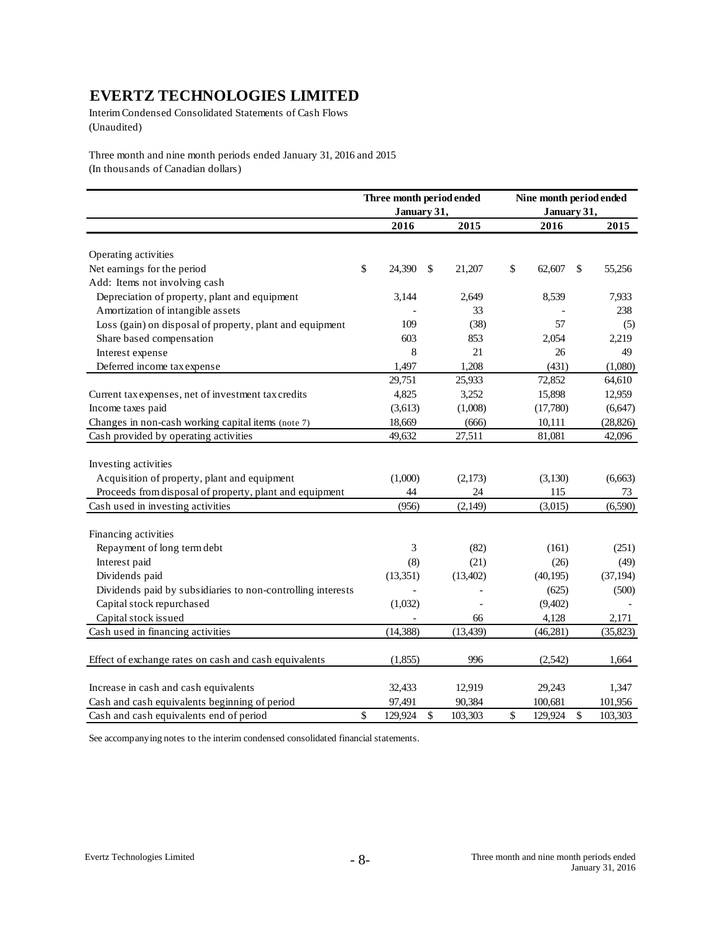Interim Condensed Consolidated Statements of Cash Flows (Unaudited)

Three month and nine month periods ended January 31, 2016 and 2015 (In thousands of Canadian dollars)

|                                                                                          | Three month period ended |               |           | Nine month period ended |    |           |  |  |  |
|------------------------------------------------------------------------------------------|--------------------------|---------------|-----------|-------------------------|----|-----------|--|--|--|
|                                                                                          | January 31,              |               |           | January 31,             |    |           |  |  |  |
|                                                                                          | 2016                     |               | 2015      | 2016                    |    | 2015      |  |  |  |
|                                                                                          |                          |               |           |                         |    |           |  |  |  |
| Operating activities                                                                     |                          |               |           |                         |    |           |  |  |  |
| Net earnings for the period                                                              | \$<br>24,390             | \$            | 21,207    | \$<br>62,607            | \$ | 55,256    |  |  |  |
| Add: Items not involving cash                                                            |                          |               |           |                         |    |           |  |  |  |
| Depreciation of property, plant and equipment                                            | 3,144                    |               | 2,649     | 8,539                   |    | 7,933     |  |  |  |
| Amortization of intangible assets                                                        |                          |               | 33        |                         |    | 238       |  |  |  |
| Loss (gain) on disposal of property, plant and equipment                                 | 109                      |               | (38)      | 57                      |    | (5)       |  |  |  |
| Share based compensation                                                                 | 603                      |               | 853       | 2,054                   |    | 2,219     |  |  |  |
| Interest expense                                                                         | 8                        |               | 21        | 26                      |    | 49        |  |  |  |
| Deferred income tax expense                                                              | 1.497                    |               | 1,208     | (431)                   |    | (1,080)   |  |  |  |
|                                                                                          | 29,751                   |               | 25,933    | 72,852                  |    | 64,610    |  |  |  |
| Current tax expenses, net of investment tax credits                                      | 4,825                    |               | 3,252     | 15,898                  |    | 12,959    |  |  |  |
| Income taxes paid                                                                        | (3,613)                  |               | (1,008)   | (17,780)                |    | (6, 647)  |  |  |  |
| Changes in non-cash working capital items (note 7)                                       | 18,669                   |               | (666)     | 10,111                  |    | (28, 826) |  |  |  |
| Cash provided by operating activities                                                    | 49,632                   |               | 27,511    | 81,081                  |    | 42,096    |  |  |  |
|                                                                                          |                          |               |           |                         |    |           |  |  |  |
| Investing activities                                                                     |                          |               |           |                         |    |           |  |  |  |
| Acquisition of property, plant and equipment                                             | (1,000)                  |               | (2,173)   | (3,130)                 |    | (6,663)   |  |  |  |
| Proceeds from disposal of property, plant and equipment                                  | 44                       |               | 24        | 115                     |    | 73        |  |  |  |
| Cash used in investing activities                                                        | (956)                    |               | (2, 149)  | (3,015)                 |    | (6,590)   |  |  |  |
| Financing activities                                                                     |                          |               |           |                         |    |           |  |  |  |
| Repayment of long term debt                                                              | 3                        |               | (82)      | (161)                   |    | (251)     |  |  |  |
| Interest paid                                                                            | (8)                      |               | (21)      | (26)                    |    | (49)      |  |  |  |
| Dividends paid                                                                           | (13, 351)                |               | (13,402)  | (40, 195)               |    | (37, 194) |  |  |  |
|                                                                                          |                          |               |           |                         |    |           |  |  |  |
| Dividends paid by subsidiaries to non-controlling interests<br>Capital stock repurchased |                          |               |           | (625)                   |    | (500)     |  |  |  |
|                                                                                          | (1,032)                  |               |           | (9,402)                 |    |           |  |  |  |
| Capital stock issued                                                                     |                          |               | 66        | 4,128                   |    | 2,171     |  |  |  |
| Cash used in financing activities                                                        | (14, 388)                |               | (13, 439) | (46,281)                |    | (35, 823) |  |  |  |
| Effect of exchange rates on cash and cash equivalents                                    | (1,855)                  |               | 996       | (2,542)                 |    | 1,664     |  |  |  |
|                                                                                          |                          |               |           |                         |    |           |  |  |  |
| Increase in cash and cash equivalents                                                    | 32,433                   |               | 12,919    | 29,243                  |    | 1,347     |  |  |  |
| Cash and cash equivalents beginning of period                                            | 97,491                   |               | 90,384    | 100,681                 |    | 101,956   |  |  |  |
| Cash and cash equivalents end of period                                                  | \$<br>129,924            | $\mathsf{\$}$ | 103,303   | \$<br>129,924           | \$ | 103,303   |  |  |  |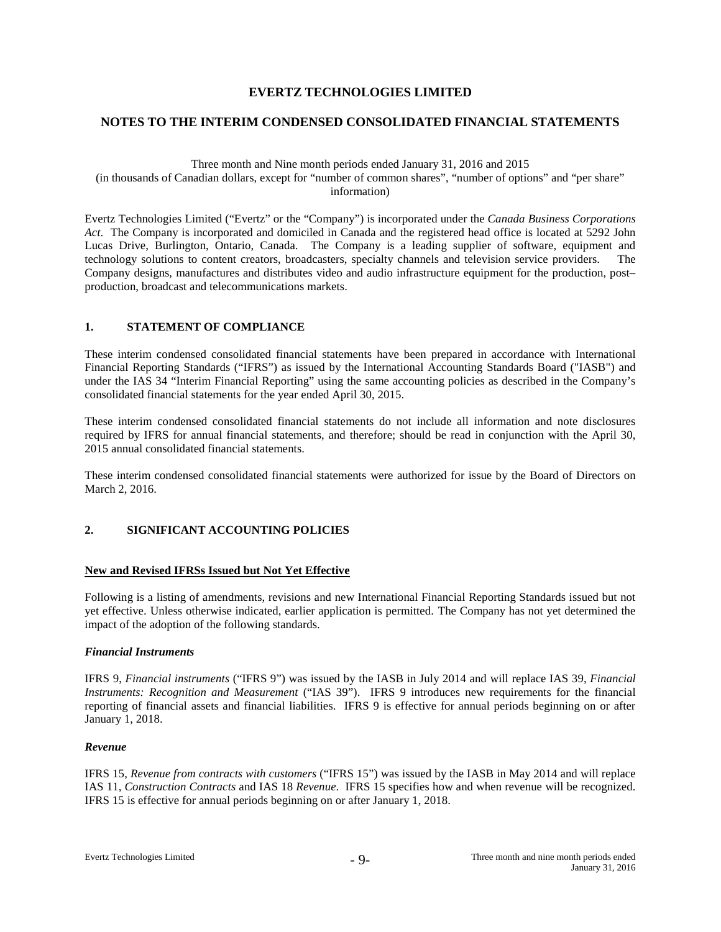#### **NOTES TO THE INTERIM CONDENSED CONSOLIDATED FINANCIAL STATEMENTS**

Three month and Nine month periods ended January 31, 2016 and 2015 (in thousands of Canadian dollars, except for "number of common shares", "number of options" and "per share" information)

Evertz Technologies Limited ("Evertz" or the "Company") is incorporated under the *Canada Business Corporations Act*. The Company is incorporated and domiciled in Canada and the registered head office is located at 5292 John Lucas Drive, Burlington, Ontario, Canada. The Company is a leading supplier of software, equipment and technology solutions to content creators, broadcasters, specialty channels and television service providers. The Company designs, manufactures and distributes video and audio infrastructure equipment for the production, post– production, broadcast and telecommunications markets.

### **1. STATEMENT OF COMPLIANCE**

These interim condensed consolidated financial statements have been prepared in accordance with International Financial Reporting Standards ("IFRS") as issued by the International Accounting Standards Board ("IASB") and under the IAS 34 "Interim Financial Reporting" using the same accounting policies as described in the Company's consolidated financial statements for the year ended April 30, 2015.

These interim condensed consolidated financial statements do not include all information and note disclosures required by IFRS for annual financial statements, and therefore; should be read in conjunction with the April 30, 2015 annual consolidated financial statements.

These interim condensed consolidated financial statements were authorized for issue by the Board of Directors on March 2, 2016.

#### **2. SIGNIFICANT ACCOUNTING POLICIES**

#### **New and Revised IFRSs Issued but Not Yet Effective**

Following is a listing of amendments, revisions and new International Financial Reporting Standards issued but not yet effective. Unless otherwise indicated, earlier application is permitted. The Company has not yet determined the impact of the adoption of the following standards.

#### *Financial Instruments*

IFRS 9, *Financial instruments* ("IFRS 9") was issued by the IASB in July 2014 and will replace IAS 39, *Financial Instruments: Recognition and Measurement* ("IAS 39"). IFRS 9 introduces new requirements for the financial reporting of financial assets and financial liabilities. IFRS 9 is effective for annual periods beginning on or after January 1, 2018.

#### *Revenue*

IFRS 15, *Revenue from contracts with customers* ("IFRS 15") was issued by the IASB in May 2014 and will replace IAS 11, *Construction Contracts* and IAS 18 *Revenue*. IFRS 15 specifies how and when revenue will be recognized. IFRS 15 is effective for annual periods beginning on or after January 1, 2018.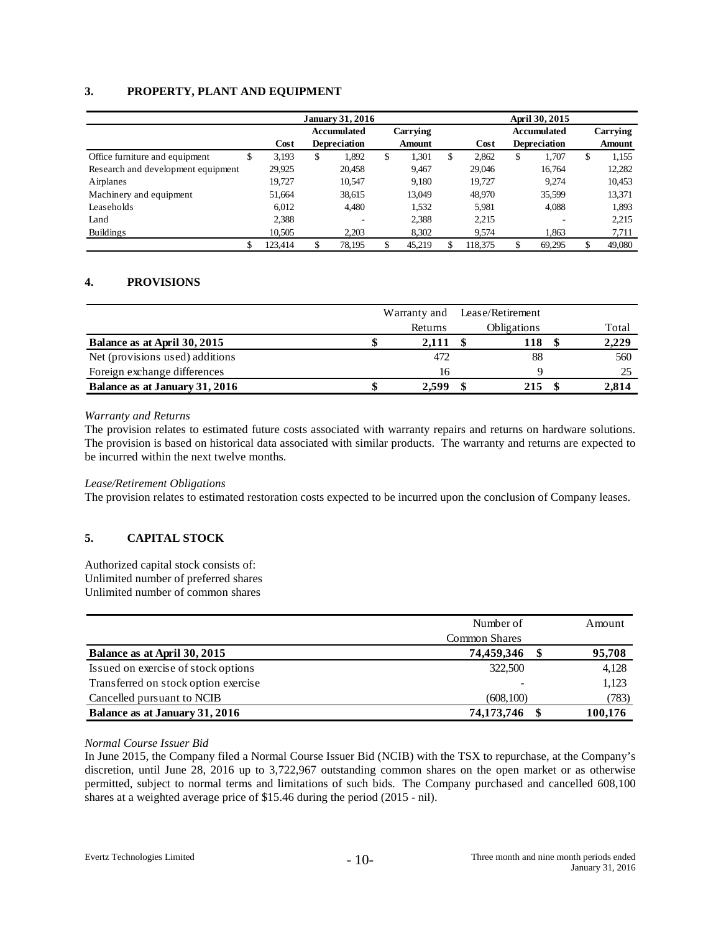### **3. PROPERTY, PLANT AND EQUIPMENT**

|                                    |    | <b>January 31, 2016</b> |    |                     |    |               | April 30, 2015 |    |                     |    |          |
|------------------------------------|----|-------------------------|----|---------------------|----|---------------|----------------|----|---------------------|----|----------|
|                                    |    |                         |    | <b>Accumulated</b>  |    | Carrying      |                |    | <b>Accumulated</b>  |    | Carrying |
|                                    |    | Cost                    |    | <b>Depreciation</b> |    | <b>Amount</b> | Cost           |    | <b>Depreciation</b> |    | Amount   |
| Office furniture and equipment     | J  | 3,193                   | \$ | 1,892               | \$ | 1,301         | \$<br>2.862    | \$ | 1.707               | \$ | 1,155    |
| Research and development equipment |    | 29,925                  |    | 20,458              |    | 9.467         | 29,046         |    | 16.764              |    | 12,282   |
| Airplanes                          |    | 19.727                  |    | 10.547              |    | 9.180         | 19.727         |    | 9.274               |    | 10,453   |
| Machinery and equipment            |    | 51,664                  |    | 38,615              |    | 13,049        | 48.970         |    | 35,599              |    | 13,371   |
| Leaseholds                         |    | 6.012                   |    | 4.480               |    | 1,532         | 5,981          |    | 4.088               |    | 1,893    |
| Land                               |    | 2,388                   |    | ۰                   |    | 2,388         | 2,215          |    | -                   |    | 2,215    |
| <b>Buildings</b>                   |    | 10.505                  |    | 2.203               |    | 8.302         | 9.574          |    | 1.863               |    | 7,711    |
|                                    | \$ | 123.414                 |    | 78,195              |    | 45,219        | 118.375        | \$ | 69,295              | \$ | 49,080   |

### **4. PROVISIONS**

|                                 |         | Warranty and Lease/Retirement |       |
|---------------------------------|---------|-------------------------------|-------|
|                                 | Returns | <b>Obligations</b>            | Total |
| Balance as at April 30, 2015    | 2,111   | 118                           | 2,229 |
| Net (provisions used) additions | 472     | 88                            | 560   |
| Foreign exchange differences    | 16      |                               | 25    |
| Balance as at January 31, 2016  | 2.599   | 215                           |       |

#### *Warranty and Returns*

The provision relates to estimated future costs associated with warranty repairs and returns on hardware solutions. The provision is based on historical data associated with similar products. The warranty and returns are expected to be incurred within the next twelve months.

#### *Lease/Retirement Obligations*

The provision relates to estimated restoration costs expected to be incurred upon the conclusion of Company leases.

## **5. CAPITAL STOCK**

Authorized capital stock consists of: Unlimited number of preferred shares Unlimited number of common shares

|                                      | Number of     | Amount  |
|--------------------------------------|---------------|---------|
|                                      | Common Shares |         |
| Balance as at April 30, 2015         | 74,459,346    | 95,708  |
| Issued on exercise of stock options  | 322,500       | 4,128   |
| Transferred on stock option exercise | -             | 1,123   |
| Cancelled pursuant to NCIB           | (608, 100)    | (783)   |
| Balance as at January 31, 2016       | 74,173,746    | 100,176 |

#### *Normal Course Issuer Bid*

In June 2015, the Company filed a Normal Course Issuer Bid (NCIB) with the TSX to repurchase, at the Company's discretion, until June 28, 2016 up to 3,722,967 outstanding common shares on the open market or as otherwise permitted, subject to normal terms and limitations of such bids. The Company purchased and cancelled 608,100 shares at a weighted average price of \$15.46 during the period (2015 - nil).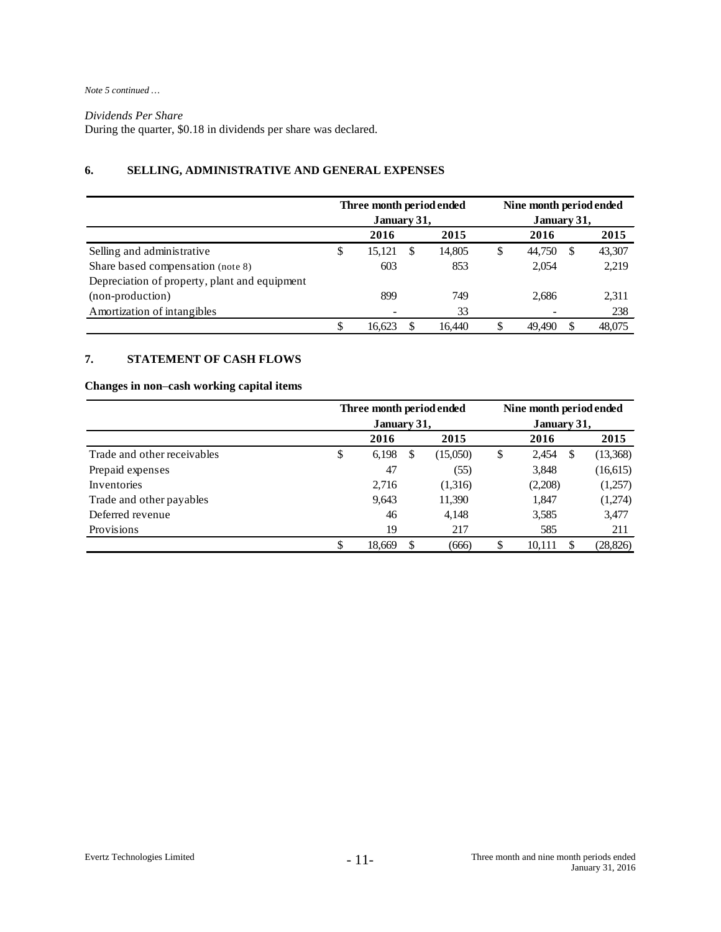*Note 5 continued …*

*Dividends Per Share* During the quarter, \$0.18 in dividends per share was declared.

# **6. SELLING, ADMINISTRATIVE AND GENERAL EXPENSES**

|                                               |    | Three month period ended<br>January 31, |  | Nine month period ended<br>January 31, |    |        |   |        |
|-----------------------------------------------|----|-----------------------------------------|--|----------------------------------------|----|--------|---|--------|
|                                               |    | 2016                                    |  | 2015                                   |    | 2016   |   | 2015   |
| Selling and administrative                    | S  | 15,121                                  |  | 14,805                                 | \$ | 44,750 | S | 43,307 |
| Share based compensation (note 8)             |    | 603                                     |  | 853                                    |    | 2,054  |   | 2,219  |
| Depreciation of property, plant and equipment |    |                                         |  |                                        |    |        |   |        |
| (non-production)                              |    | 899                                     |  | 749                                    |    | 2,686  |   | 2,311  |
| Amortization of intangibles                   |    |                                         |  | 33                                     |    |        |   | 238    |
|                                               | \$ | 16.623                                  |  | 16.440                                 |    | 49.490 |   | 48,075 |

# **7. STATEMENT OF CASH FLOWS**

**Changes in non**–**cash working capital items**

|                             |             | Three month period ended<br>Nine month period ended<br>January 31, |          |    | January 31, |           |  |  |
|-----------------------------|-------------|--------------------------------------------------------------------|----------|----|-------------|-----------|--|--|
|                             | 2016        |                                                                    | 2015     |    | 2016        | 2015      |  |  |
| Trade and other receivables | \$<br>6,198 | \$.                                                                | (15,050) | \$ | 2.454<br>\$ | (13,368)  |  |  |
| Prepaid expenses            | 47          |                                                                    | (55)     |    | 3,848       | (16,615)  |  |  |
| Inventories                 | 2,716       |                                                                    | (1,316)  |    | (2,208)     | (1,257)   |  |  |
| Trade and other payables    | 9,643       |                                                                    | 11,390   |    | 1,847       | (1,274)   |  |  |
| Deferred revenue            | 46          |                                                                    | 4,148    |    | 3,585       | 3,477     |  |  |
| Provisions                  | 19          |                                                                    | 217      |    | 585         | 211       |  |  |
|                             | 18,669      | -S                                                                 | (666)    | \$ | 10,111<br>S | (28, 826) |  |  |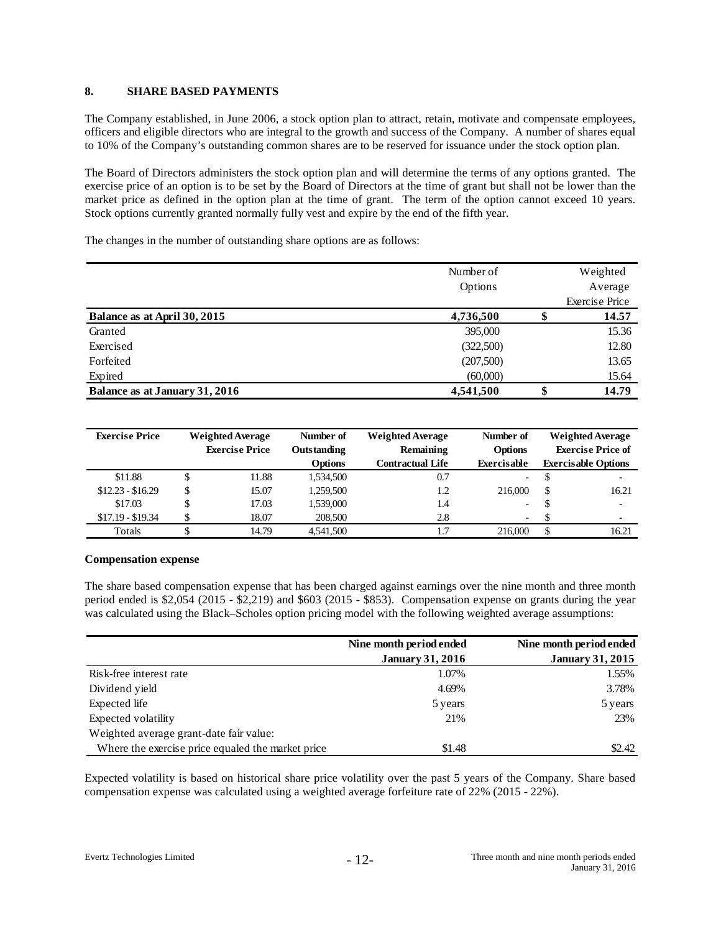#### **8. SHARE BASED PAYMENTS**

The Company established, in June 2006, a stock option plan to attract, retain, motivate and compensate employees, officers and eligible directors who are integral to the growth and success of the Company. A number of shares equal to 10% of the Company's outstanding common shares are to be reserved for issuance under the stock option plan.

The Board of Directors administers the stock option plan and will determine the terms of any options granted. The exercise price of an option is to be set by the Board of Directors at the time of grant but shall not be lower than the market price as defined in the option plan at the time of grant. The term of the option cannot exceed 10 years. Stock options currently granted normally fully vest and expire by the end of the fifth year.

The changes in the number of outstanding share options are as follows:

|                                | Number of |    | Weighted              |
|--------------------------------|-----------|----|-----------------------|
|                                | Options   |    | Average               |
|                                |           |    | <b>Exercise Price</b> |
| Balance as at April 30, 2015   | 4,736,500 | Φ  | 14.57                 |
| Granted                        | 395,000   |    | 15.36                 |
| Exercised                      | (322,500) |    | 12.80                 |
| Forfeited                      | (207,500) |    | 13.65                 |
| Expired                        | (60,000)  |    | 15.64                 |
| Balance as at January 31, 2016 | 4,541,500 | \$ | 14.79                 |

| <b>Exercise Price</b> | <b>Weighted Average</b><br><b>Exercise Price</b> |       | Number of<br>Outstanding | <b>Weighted Average</b><br>Remaining | Number of<br><b>Options</b> | <b>Weighted Average</b><br><b>Exercise Price of</b> |                            |  |
|-----------------------|--------------------------------------------------|-------|--------------------------|--------------------------------------|-----------------------------|-----------------------------------------------------|----------------------------|--|
|                       |                                                  |       | <b>Options</b>           | <b>Contractual Life</b>              | <b>Exercisable</b>          |                                                     | <b>Exercisable Options</b> |  |
| \$11.88               |                                                  | 11.88 | 1,534,500                | 0.7                                  | $\overline{\phantom{0}}$    |                                                     |                            |  |
| $$12.23 - $16.29$     |                                                  | 15.07 | 1.259.500                | 1.2                                  | 216,000                     | -S                                                  | 16.21                      |  |
| \$17.03               |                                                  | 17.03 | 1,539,000                | 1.4                                  | $\overline{\phantom{0}}$    |                                                     |                            |  |
| $$17.19 - $19.34$     |                                                  | 18.07 | 208,500                  | 2.8                                  | $\overline{\phantom{a}}$    |                                                     | $\overline{\phantom{0}}$   |  |
| Totals                |                                                  | 14.79 | 4,541,500                | 1.7                                  | 216,000                     |                                                     | 16.21                      |  |

#### **Compensation expense**

The share based compensation expense that has been charged against earnings over the nine month and three month period ended is \$2,054 (2015 - \$2,219) and \$603 (2015 - \$853). Compensation expense on grants during the year was calculated using the Black–Scholes option pricing model with the following weighted average assumptions:

|                                                   | Nine month period ended | Nine month period ended |
|---------------------------------------------------|-------------------------|-------------------------|
|                                                   | <b>January 31, 2016</b> | <b>January 31, 2015</b> |
| Risk-free interest rate                           | 1.07%                   | 1.55%                   |
| Dividend yield                                    | 4.69%                   | 3.78%                   |
| Expected life                                     | 5 years                 | 5 years                 |
| Expected volatility                               | 21%                     | 23%                     |
| Weighted average grant-date fair value:           |                         |                         |
| Where the exercise price equaled the market price | \$1.48                  | \$2.42                  |

Expected volatility is based on historical share price volatility over the past 5 years of the Company. Share based compensation expense was calculated using a weighted average forfeiture rate of 22% (2015 - 22%).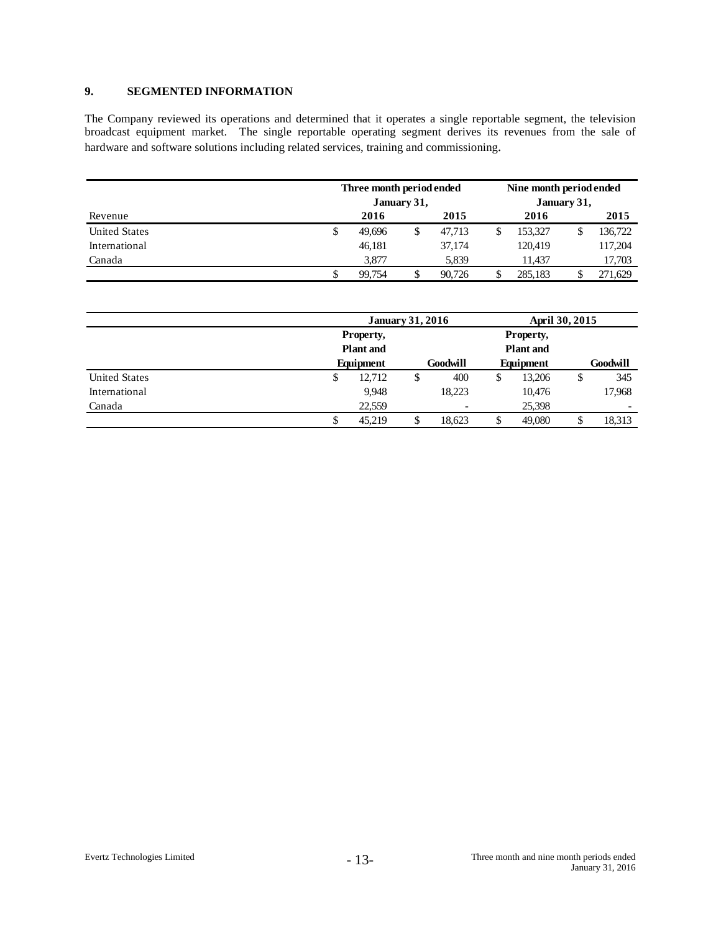### **9. SEGMENTED INFORMATION**

The Company reviewed its operations and determined that it operates a single reportable segment, the television broadcast equipment market. The single reportable operating segment derives its revenues from the sale of hardware and software solutions including related services, training and commissioning.

|                      | Three month period ended<br>January 31, |        |   |        | Nine month period ended<br>January 31, |         |  |         |
|----------------------|-----------------------------------------|--------|---|--------|----------------------------------------|---------|--|---------|
| Revenue              |                                         | 2016   |   | 2015   |                                        | 2016    |  | 2015    |
| <b>United States</b> | S                                       | 49.696 | S | 47.713 |                                        | 153,327 |  | 136,722 |
| International        |                                         | 46,181 |   | 37,174 |                                        | 120,419 |  | 117,204 |
| Canada               |                                         | 3,877  |   | 5.839  |                                        | 11.437  |  | 17,703  |
|                      | S                                       | 99.754 |   | 90.726 |                                        | 285.183 |  | 271,629 |

|                      | <b>January 31, 2016</b>       |        |          |                          | April 30, 2015 |                               |          |        |
|----------------------|-------------------------------|--------|----------|--------------------------|----------------|-------------------------------|----------|--------|
|                      | Property,<br><b>Plant</b> and |        |          |                          |                | Property,<br><b>Plant</b> and |          |        |
|                      | Equipment                     |        | Goodwill |                          | Equipment      |                               | Goodwill |        |
| <b>United States</b> | \$                            | 12,712 | \$       | 400                      | \$             | 13.206                        | S        | 345    |
| International        |                               | 9,948  |          | 18,223                   |                | 10,476                        |          | 17,968 |
| Canada               |                               | 22,559 |          | $\overline{\phantom{a}}$ |                | 25,398                        |          |        |
|                      | D                             | 45.219 | ¢<br>D   | 18.623                   | S              | 49,080                        |          | 18,313 |